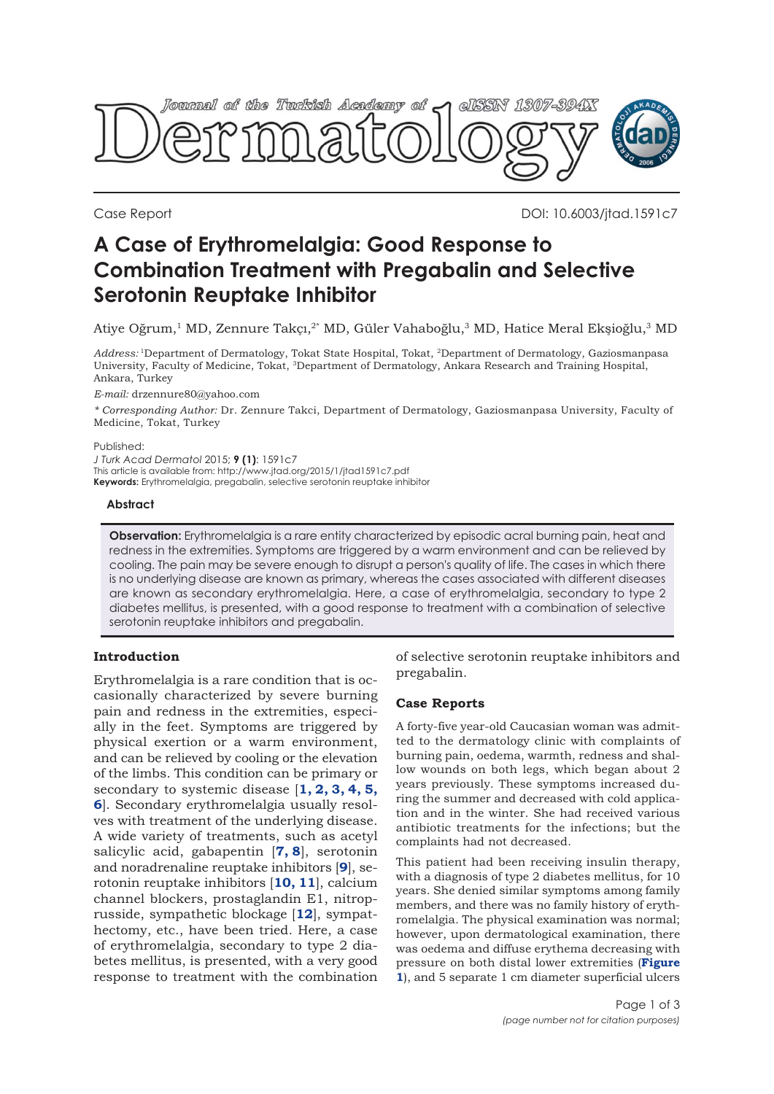

Case Report DOI: 10.6003/jtad.1591c7

# **A Case of Erythromelalgia: Good Response to Combination Treatment with Pregabalin and Selective Serotonin Reuptake Inhibitor**

Atiye Oğrum,1 MD, Zennure Takçı,2\* MD, Güler Vahaboğlu,3 MD, Hatice Meral Ekşioğlu,3 MD

*Address:* 1Department of Dermatology, Tokat State Hospital, Tokat, 2Department of Dermatology, Gaziosmanpasa University, Faculty of Medicine, Tokat, 3Department of Dermatology, Ankara Research and Training Hospital, Ankara, Turkey

*E-mail:* drzennure80@yahoo.com

*\* Corresponding Author:* Dr. Zennure Takci, Department of Dermatology, Gaziosmanpasa University, Faculty of Medicine, Tokat, Turkey

#### Published:

*J Turk Acad Dermatol* 2015; **9 (1)**: 1591c7 This article is available from: http://www.jtad.org/2015/1/jtad1591c7.pdf **Keywords:** Erythromelalgia, pregabalin, selective serotonin reuptake inhibitor

#### **Abstract**

**Observation:** Erythromelalgia is a rare entity characterized by episodic acral burning pain, heat and redness in the extremities. Symptoms are triggered by a warm environment and can be relieved by cooling. The pain may be severe enough to disrupt a person's quality of life. The cases in which there is no underlying disease are known as primary, whereas the cases associated with different diseases are known as secondary erythromelalgia. Here, a case of erythromelalgia, secondary to type 2 diabetes mellitus, is presented, with a good response to treatment with a combination of selective serotonin reuptake inhibitors and pregabalin.

### **Introduction**

Erythromelalgia is a rare condition that is occasionally characterized by severe burning pain and redness in the extremities, especially in the feet. Symptoms are triggered by physical exertion or a warm environment, and can be relieved by cooling or the elevation of the limbs. This condition can be primary or secondary to systemic disease [**[1, 2](#page-2-0), [3, 4](#page-2-0), [5](#page-2-0), [6](#page-2-0)**]. Secondary erythromelalgia usually resolves with treatment of the underlying disease. A wide variety of treatments, such as acetyl salicylic acid, gabapentin [**[7, 8](#page-2-0)**], serotonin and noradrenaline reuptake inhibitors [**[9](#page-2-0)**], serotonin reuptake inhibitors [**[10, 11](#page-2-0)**], calcium channel blockers, prostaglandin E1, nitroprusside, sympathetic blockage [**[12](#page-2-0)**], sympathectomy, etc., have been tried. Here, a case of erythromelalgia, secondary to type 2 diabetes mellitus, is presented, with a very good response to treatment with the combination of selective serotonin reuptake inhibitors and pregabalin.

### **Case Reports**

A forty-five year-old Caucasian woman was admitted to the dermatology clinic with complaints of burning pain, oedema, warmth, redness and shallow wounds on both legs, which began about 2 years previously. These symptoms increased during the summer and decreased with cold application and in the winter. She had received various antibiotic treatments for the infections; but the complaints had not decreased.

This patient had been receiving insulin therapy, with a diagnosis of type 2 diabetes mellitus, for 10 years. She denied similar symptoms among family members, and there was no family history of erythromelalgia. The physical examination was normal; however, upon dermatological examination, there was oedema and diffuse erythema decreasing with pressure on both distal lower extremities (**Figure 1**[\), and 5 separate 1 cm diameter superficial ulcers](#page-1-0)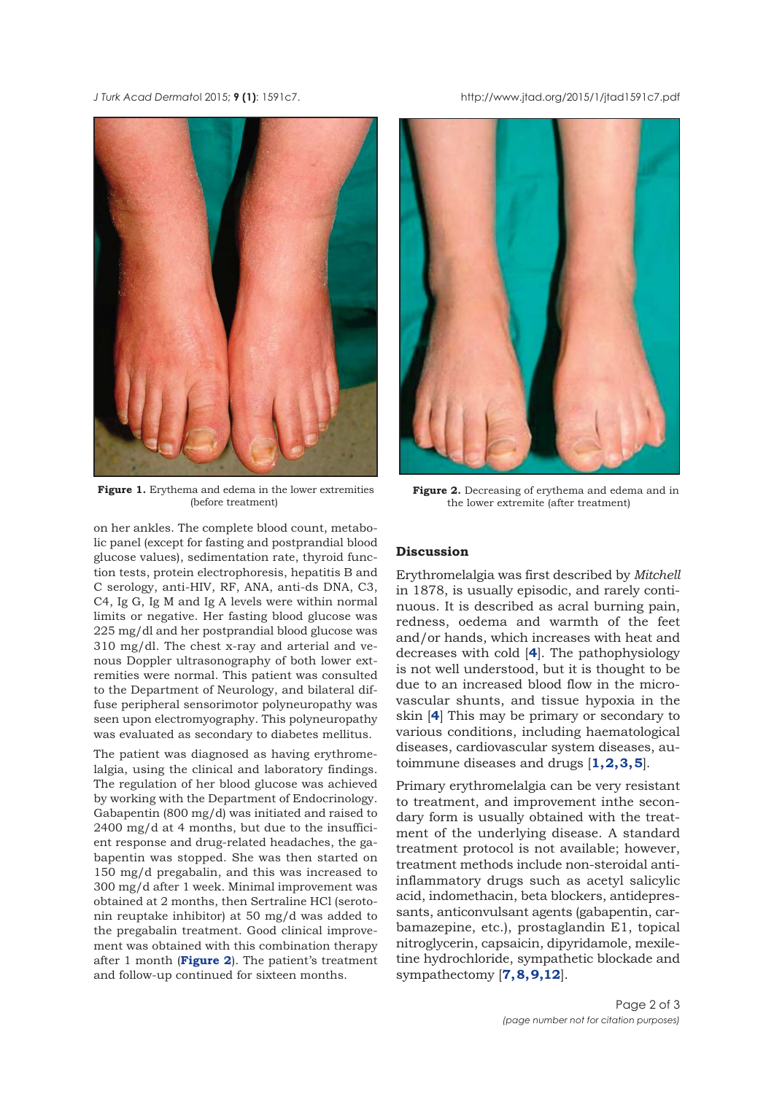<span id="page-1-0"></span>*J Turk Acad Dermato*l 2015; **9 (1)**: 1591c7. http://www.jtad.org/2015/1/jtad1591c7.pdf



Figure 1. Erythema and edema in the lower extremities (before treatment)

on her ankles. The complete blood count, metabolic panel (except for fasting and postprandial blood glucose values), sedimentation rate, thyroid function tests, protein electrophoresis, hepatitis B and C serology, anti-HIV, RF, ANA, anti-ds DNA, C3, C4, Ig G, Ig M and Ig A levels were within normal limits or negative. Her fasting blood glucose was 225 mg/dl and her postprandial blood glucose was 310 mg/dl. The chest x-ray and arterial and venous Doppler ultrasonography of both lower extremities were normal. This patient was consulted to the Department of Neurology, and bilateral diffuse peripheral sensorimotor polyneuropathy was seen upon electromyography. This polyneuropathy was evaluated as secondary to diabetes mellitus.

The patient was diagnosed as having erythromelalgia, using the clinical and laboratory findings. The regulation of her blood glucose was achieved by working with the Department of Endocrinology. Gabapentin (800 mg/d) was initiated and raised to 2400 mg/d at 4 months, but due to the insufficient response and drug-related headaches, the gabapentin was stopped. She was then started on 150 mg/d pregabalin, and this was increased to 300 mg/d after 1 week. Minimal improvement was obtained at 2 months, then Sertraline HCl (serotonin reuptake inhibitor) at 50 mg/d was added to the pregabalin treatment. Good clinical improvement was obtained with this combination therapy after 1 month (**Figure 2**). The patient's treatment and follow-up continued for sixteen months.



**Figure 2.** Decreasing of erythema and edema and in the lower extremite (after treatment)

## **Discussion**

Erythromelalgia was first described by *Mitchell* in 1878, is usually episodic, and rarely continuous. It is described as acral burning pain, redness, oedema and warmth of the feet and/or hands, which increases with heat and decreases with cold [**[4](#page-2-0)**]. The pathophysiology is not well understood, but it is thought to be due to an increased blood flow in the microvascular shunts, and tissue hypoxia in the skin [**[4](#page-2-0)**] This may be primary or secondary to various conditions, including haematological diseases, cardiovascular system diseases, autoimmune diseases and drugs [**[1, 2, 3, 5](#page-2-0)**].

Primary erythromelalgia can be very resistant to treatment, and improvement inthe secondary form is usually obtained with the treatment of the underlying disease. A standard treatment protocol is not available; however, treatment methods include non-steroidal antiinflammatory drugs such as acetyl salicylic acid, indomethacin, beta blockers, antidepressants, anticonvulsant agents (gabapentin, carbamazepine, etc.), prostaglandin E1, topical nitroglycerin, capsaicin, dipyridamole, mexiletine hydrochloride, sympathetic blockade and sympathectomy [**[7, 8, 9,12](#page-2-0)**].